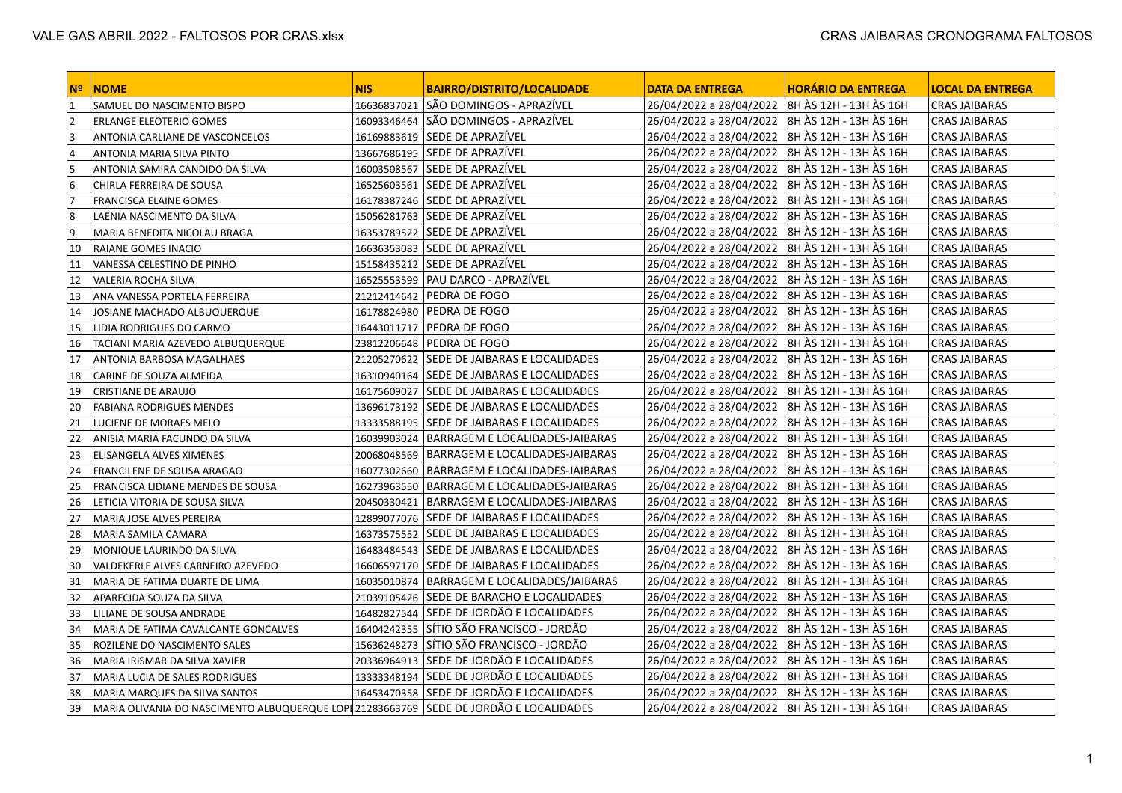| l Nº ∶ | $\blacksquare$ NOME                                                                    | <b>NIS</b> | <b>BAIRRO/DISTRITO/LOCALIDADE</b>             | <b>DATA DA ENTREGA</b>                           | <b>HORÁRIO DA ENTREGA</b> | <b>LOCAL DA ENTREGA</b> |
|--------|----------------------------------------------------------------------------------------|------------|-----------------------------------------------|--------------------------------------------------|---------------------------|-------------------------|
| 1      | SAMUEL DO NASCIMENTO BISPO                                                             |            | 16636837021 SÃO DOMINGOS - APRAZÍVEL          | 26/04/2022 a 28/04/2022 3H AS 12H - 13H AS 16H   |                           | <b>CRAS JAIBARAS</b>    |
| 2      | ERLANGE ELEOTERIO GOMES                                                                |            | 16093346464 SÃO DOMINGOS - APRAZÍVEL          | 26/04/2022 a 28/04/2022  8H ÀS 12H - 13H ÀS 16H  |                           | <b>CRAS JAIBARAS</b>    |
| 3      | ANTONIA CARLIANE DE VASCONCELOS                                                        |            | 16169883619 SEDE DE APRAZÍVEL                 | 26/04/2022 a 28/04/2022  8H ÀS 12H - 13H ÀS 16H  |                           | <b>CRAS JAIBARAS</b>    |
| 14     | ANTONIA MARIA SILVA PINTO                                                              |            | 13667686195 SEDE DE APRAZÍVEL                 | 26/04/2022 a 28/04/2022   8H ÀS 12H - 13H ÀS 16H |                           | <b>CRAS JAIBARAS</b>    |
| 5      | ANTONIA SAMIRA CANDIDO DA SILVA                                                        |            | 16003508567 SEDE DE APRAZÍVEL                 | 26/04/2022 a 28/04/2022  8H ÀS 12H - 13H ÀS 16H  |                           | <b>CRAS JAIBARAS</b>    |
| 6      | CHIRLA FERREIRA DE SOUSA                                                               |            | 16525603561 SEDE DE APRAZÍVEL                 | 26/04/2022 a 28/04/2022                          | 8H ÀS 12H - 13H ÀS 16H    | <b>CRAS JAIBARAS</b>    |
| 17     | FRANCISCA ELAINE GOMES                                                                 |            | 16178387246 SEDE DE APRAZÍVEL                 | 26/04/2022 a 28/04/2022  8H ÀS 12H - 13H ÀS 16H  |                           | <b>CRAS JAIBARAS</b>    |
| 8      | LAENIA NASCIMENTO DA SILVA                                                             |            | 15056281763 SEDE DE APRAZÍVEL                 | 26/04/2022 a 28/04/2022   8H ÀS 12H - 13H ÀS 16H |                           | <b>CRAS JAIBARAS</b>    |
| و ا    | MARIA BENEDITA NICOLAU BRAGA                                                           |            | 16353789522 SEDE DE APRAZÍVEL                 | 26/04/2022 a 28/04/2022                          | 8H ÀS 12H - 13H ÀS 16H    | <b>CRAS JAIBARAS</b>    |
| 10     | RAIANE GOMES INACIO                                                                    |            | 16636353083 SEDE DE APRAZÍVEL                 | 26/04/2022 a 28/04/2022  8H ÀS 12H - 13H ÀS 16H  |                           | <b>CRAS JAIBARAS</b>    |
| 11     | VANESSA CELESTINO DE PINHO                                                             |            | 15158435212 SEDE DE APRAZÍVEL                 | 26/04/2022 a 28/04/2022  8H ÀS 12H - 13H ÀS 16H  |                           | <b>CRAS JAIBARAS</b>    |
| 12     | <b>VALERIA ROCHA SILVA</b>                                                             |            | 16525553599   PAU DARCO - APRAZÍVEL           | 26/04/2022 a 28/04/2022                          | 8H ÀS 12H - 13H ÀS 16H    | <b>CRAS JAIBARAS</b>    |
| 13     | ANA VANESSA PORTELA FERREIRA                                                           |            | 21212414642   PEDRA DE FOGO                   | 26/04/2022 a 28/04/2022   8H ÀS 12H - 13H ÀS 16H |                           | <b>CRAS JAIBARAS</b>    |
| 14     | JOSIANE MACHADO ALBUQUERQUE                                                            |            | 16178824980   PEDRA DE FOGO                   | 26/04/2022 a 28/04/2022  8H ÀS 12H - 13H ÀS 16H  |                           | <b>CRAS JAIBARAS</b>    |
| 15     | LIDIA RODRIGUES DO CARMO                                                               |            | 16443011717   PEDRA DE FOGO                   | 26/04/2022 a 28/04/2022  8H ÀS 12H - 13H ÀS 16H  |                           | <b>CRAS JAIBARAS</b>    |
| 16     | TACIANI MARIA AZEVEDO ALBUQUERQUE                                                      |            | 23812206648 PEDRA DE FOGO                     | 26/04/2022 a 28/04/2022  8H ÀS 12H - 13H ÀS 16H  |                           | <b>CRAS JAIBARAS</b>    |
| 17     | ANTONIA BARBOSA MAGALHAES                                                              |            | 21205270622 SEDE DE JAIBARAS E LOCALIDADES    | 26/04/2022 a 28/04/2022  8H ÀS 12H - 13H ÀS 16H  |                           | <b>CRAS JAIBARAS</b>    |
| 18     | CARINE DE SOUZA ALMEIDA                                                                |            | 16310940164 SEDE DE JAIBARAS E LOCALIDADES    | 26/04/2022 a 28/04/2022  8H ÀS 12H - 13H ÀS 16H  |                           | <b>CRAS JAIBARAS</b>    |
| 19     | CRISTIANE DE ARAUJO                                                                    |            | 16175609027 SEDE DE JAIBARAS E LOCALIDADES    | 26/04/2022 a 28/04/2022                          | 8H ÀS 12H - 13H ÀS 16H    | <b>CRAS JAIBARAS</b>    |
| 20     | <b>FABIANA RODRIGUES MENDES</b>                                                        |            | 13696173192   SEDE DE JAIBARAS E LOCALIDADES  | 26/04/2022 a 28/04/2022   8H ÀS 12H - 13H ÀS 16H |                           | <b>CRAS JAIBARAS</b>    |
| 21     | LUCIENE DE MORAES MELO                                                                 |            | 13333588195   SEDE DE JAIBARAS E LOCALIDADES  | 26/04/2022 a 28/04/2022  8H ÀS 12H - 13H ÀS 16H  |                           | <b>CRAS JAIBARAS</b>    |
| 22     | ANISIA MARIA FACUNDO DA SILVA                                                          |            | 16039903024   BARRAGEM E LOCALIDADES-JAIBARAS | 26/04/2022 a 28/04/2022                          | 8H ÀS 12H - 13H ÀS 16H    | <b>CRAS JAIBARAS</b>    |
| 23     | <b>ELISANGELA ALVES XIMENES</b>                                                        |            | 20068048569   BARRAGEM E LOCALIDADES-JAIBARAS | 26/04/2022 a 28/04/2022  8H ÀS 12H - 13H ÀS 16H  |                           | <b>CRAS JAIBARAS</b>    |
| 24     | FRANCILENE DE SOUSA ARAGAO                                                             |            | 16077302660   BARRAGEM E LOCALIDADES-JAIBARAS | 26/04/2022 a 28/04/2022   8H ÀS 12H - 13H ÀS 16H |                           | <b>CRAS JAIBARAS</b>    |
| 25     | FRANCISCA LIDIANE MENDES DE SOUSA                                                      |            | 16273963550   BARRAGEM E LOCALIDADES-JAIBARAS | 26/04/2022 a 28/04/2022                          | 8H ÀS 12H - 13H ÀS 16H    | <b>CRAS JAIBARAS</b>    |
| 26     | LETICIA VITORIA DE SOUSA SILVA                                                         |            | 20450330421   BARRAGEM E LOCALIDADES-JAIBARAS | 26/04/2022 a 28/04/2022  8H ÀS 12H - 13H ÀS 16H  |                           | <b>CRAS JAIBARAS</b>    |
| 27     | MARIA JOSE ALVES PEREIRA                                                               |            | 12899077076 SEDE DE JAIBARAS E LOCALIDADES    | 26/04/2022 a 28/04/2022  8H ÀS 12H - 13H ÀS 16H  |                           | <b>CRAS JAIBARAS</b>    |
| 28     | MARIA SAMILA CAMARA                                                                    |            | 16373575552 SEDE DE JAIBARAS E LOCALIDADES    | 26/04/2022 a 28/04/2022   8H ÀS 12H - 13H ÀS 16H |                           | <b>CRAS JAIBARAS</b>    |
| 29     | MONIQUE LAURINDO DA SILVA                                                              |            | 16483484543 SEDE DE JAIBARAS E LOCALIDADES    | 26/04/2022 a 28/04/2022   8H ÀS 12H - 13H ÀS 16H |                           | <b>CRAS JAIBARAS</b>    |
| 30     | VALDEKERLE ALVES CARNEIRO AZEVEDO                                                      |            | 16606597170 SEDE DE JAIBARAS E LOCALIDADES    | 26/04/2022 a 28/04/2022  8H ÀS 12H - 13H ÀS 16H  |                           | <b>CRAS JAIBARAS</b>    |
| 31     | MARIA DE FATIMA DUARTE DE LIMA                                                         |            | 16035010874   BARRAGEM E LOCALIDADES/JAIBARAS | 26/04/2022 a 28/04/2022 3H AS 12H - 13H AS 16H   |                           | <b>CRAS JAIBARAS</b>    |
| 32     | APARECIDA SOUZA DA SILVA                                                               |            | 21039105426   SEDE DE BARACHO E LOCALIDADES   | 26/04/2022 a 28/04/2022   8H ÀS 12H - 13H ÀS 16H |                           | <b>CRAS JAIBARAS</b>    |
| 33     | LILIANE DE SOUSA ANDRADE                                                               |            | 16482827544 SEDE DE JORDÃO E LOCALIDADES      | 26/04/2022 a 28/04/2022  8H ÀS 12H - 13H ÀS 16H  |                           | <b>CRAS JAIBARAS</b>    |
| 34     | MARIA DE FATIMA CAVALCANTE GONCALVES                                                   |            | 16404242355 SÍTIO SÃO FRANCISCO - JORDÃO      | 26/04/2022 a 28/04/2022  8H ÀS 12H - 13H ÀS 16H  |                           | <b>CRAS JAIBARAS</b>    |
| 35     | ROZILENE DO NASCIMENTO SALES                                                           |            | 15636248273 SÍTIO SÃO FRANCISCO - JORDÃO      | 26/04/2022 a 28/04/2022  8H ÀS 12H - 13H ÀS 16H  |                           | <b>CRAS JAIBARAS</b>    |
| 36     | MARIA IRISMAR DA SILVA XAVIER                                                          |            | 20336964913 SEDE DE JORDÃO E LOCALIDADES      | 26/04/2022 a 28/04/2022   8H ÀS 12H - 13H ÀS 16H |                           | <b>CRAS JAIBARAS</b>    |
| 37     | MARIA LUCIA DE SALES RODRIGUES                                                         |            | 13333348194 SEDE DE JORDÃO E LOCALIDADES      | 26/04/2022 a 28/04/2022  8H ÀS 12H - 13H ÀS 16H  |                           | <b>CRAS JAIBARAS</b>    |
| 38     | MARIA MARQUES DA SILVA SANTOS                                                          |            | 16453470358 SEDE DE JORDÃO E LOCALIDADES      | 26/04/2022 a 28/04/2022 3H AS 12H - 13H AS 16H   |                           | <b>CRAS JAIBARAS</b>    |
| 39     | MARIA OLIVANIA DO NASCIMENTO ALBUQUERQUE LOPI 21283663769 SEDE DE JORDÃO E LOCALIDADES |            |                                               | 26/04/2022 a 28/04/2022  8H ÀS 12H - 13H ÀS 16H  |                           | <b>CRAS JAIBARAS</b>    |